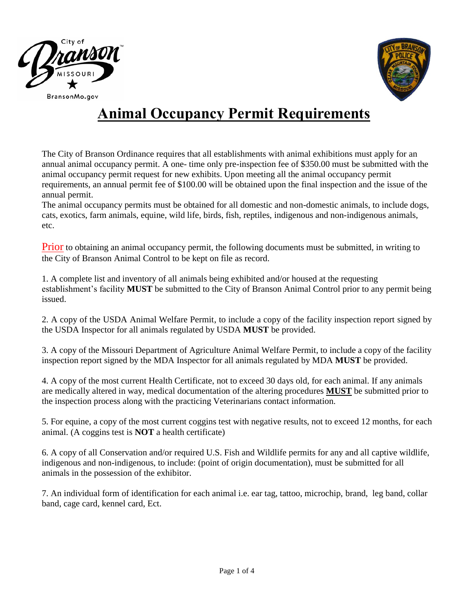



# **Animal Occupancy Permit Requirements**

The City of Branson Ordinance requires that all establishments with animal exhibitions must apply for an annual animal occupancy permit. A one- time only pre-inspection fee of \$350.00 must be submitted with the animal occupancy permit request for new exhibits. Upon meeting all the animal occupancy permit requirements, an annual permit fee of \$100.00 will be obtained upon the final inspection and the issue of the annual permit.

The animal occupancy permits must be obtained for all domestic and non-domestic animals, to include dogs, cats, exotics, farm animals, equine, wild life, birds, fish, reptiles, indigenous and non-indigenous animals, etc.

Prior to obtaining an animal occupancy permit, the following documents must be submitted, in writing to the City of Branson Animal Control to be kept on file as record.

1. A complete list and inventory of all animals being exhibited and/or housed at the requesting establishment's facility **MUST** be submitted to the City of Branson Animal Control prior to any permit being issued.

2. A copy of the USDA Animal Welfare Permit, to include a copy of the facility inspection report signed by the USDA Inspector for all animals regulated by USDA **MUST** be provided.

3. A copy of the Missouri Department of Agriculture Animal Welfare Permit, to include a copy of the facility inspection report signed by the MDA Inspector for all animals regulated by MDA **MUST** be provided.

4. A copy of the most current Health Certificate, not to exceed 30 days old, for each animal. If any animals are medically altered in way, medical documentation of the altering procedures **MUST** be submitted prior to the inspection process along with the practicing Veterinarians contact information.

5. For equine, a copy of the most current coggins test with negative results, not to exceed 12 months, for each animal. (A coggins test is **NOT** a health certificate)

6. A copy of all Conservation and/or required U.S. Fish and Wildlife permits for any and all captive wildlife, indigenous and non-indigenous, to include: (point of origin documentation), must be submitted for all animals in the possession of the exhibitor.

7. An individual form of identification for each animal i.e. ear tag, tattoo, microchip, brand, leg band, collar band, cage card, kennel card, Ect.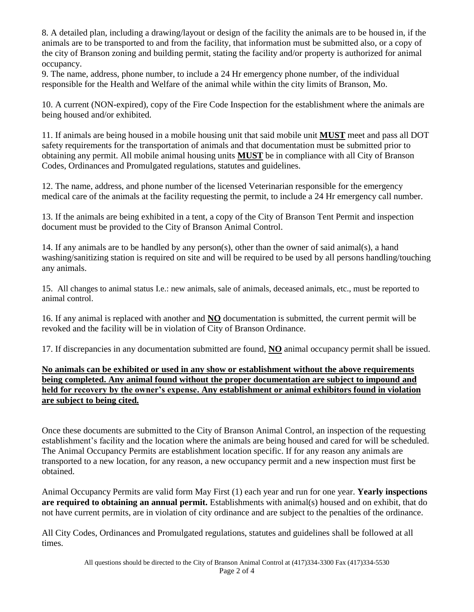8. A detailed plan, including a drawing/layout or design of the facility the animals are to be housed in, if the animals are to be transported to and from the facility, that information must be submitted also, or a copy of the city of Branson zoning and building permit, stating the facility and/or property is authorized for animal occupancy.

9. The name, address, phone number, to include a 24 Hr emergency phone number, of the individual responsible for the Health and Welfare of the animal while within the city limits of Branson, Mo.

10. A current (NON-expired), copy of the Fire Code Inspection for the establishment where the animals are being housed and/or exhibited.

11. If animals are being housed in a mobile housing unit that said mobile unit **MUST** meet and pass all DOT safety requirements for the transportation of animals and that documentation must be submitted prior to obtaining any permit. All mobile animal housing units **MUST** be in compliance with all City of Branson Codes, Ordinances and Promulgated regulations, statutes and guidelines.

12. The name, address, and phone number of the licensed Veterinarian responsible for the emergency medical care of the animals at the facility requesting the permit, to include a 24 Hr emergency call number.

13. If the animals are being exhibited in a tent, a copy of the City of Branson Tent Permit and inspection document must be provided to the City of Branson Animal Control.

14. If any animals are to be handled by any person(s), other than the owner of said animal(s), a hand washing/sanitizing station is required on site and will be required to be used by all persons handling/touching any animals.

15. All changes to animal status I.e.: new animals, sale of animals, deceased animals, etc., must be reported to animal control.

16. If any animal is replaced with another and **NO** documentation is submitted, the current permit will be revoked and the facility will be in violation of City of Branson Ordinance.

17. If discrepancies in any documentation submitted are found, **NO** animal occupancy permit shall be issued.

**No animals can be exhibited or used in any show or establishment without the above requirements being completed. Any animal found without the proper documentation are subject to impound and held for recovery by the owner's expense. Any establishment or animal exhibitors found in violation are subject to being cited.** 

Once these documents are submitted to the City of Branson Animal Control, an inspection of the requesting establishment's facility and the location where the animals are being housed and cared for will be scheduled. The Animal Occupancy Permits are establishment location specific. If for any reason any animals are transported to a new location, for any reason, a new occupancy permit and a new inspection must first be obtained.

Animal Occupancy Permits are valid form May First (1) each year and run for one year. **Yearly inspections are required to obtaining an annual permit.** Establishments with animal(s) housed and on exhibit, that do not have current permits, are in violation of city ordinance and are subject to the penalties of the ordinance.

All City Codes, Ordinances and Promulgated regulations, statutes and guidelines shall be followed at all times.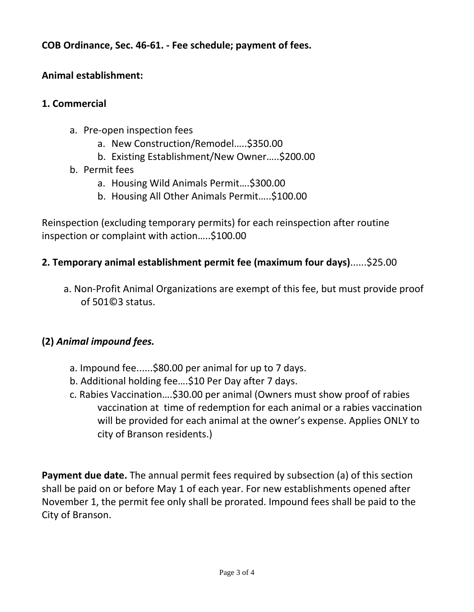**COB Ordinance, Sec. 46-61. - Fee schedule; payment of fees.**

## **Animal establishment:**

#### **1. Commercial**

- a. Pre-open inspection fees
	- a. New Construction/Remodel…..\$350.00
	- b. Existing Establishment/New Owner…..\$200.00
- b. Permit fees
	- a. Housing Wild Animals Permit….\$300.00
	- b. Housing All Other Animals Permit…..\$100.00

Reinspection (excluding temporary permits) for each reinspection after routine inspection or complaint with action…..\$100.00

#### **2. Temporary animal establishment permit fee (maximum four days)**......\$25.00

 a. Non-Profit Animal Organizations are exempt of this fee, but must provide proof of 501©3 status.

### **(2)** *Animal impound fees.*

- a. Impound fee......\$80.00 per animal for up to 7 days.
- b. Additional holding fee….\$10 Per Day after 7 days.
- c. Rabies Vaccination….\$30.00 per animal (Owners must show proof of rabies vaccination at time of redemption for each animal or a rabies vaccination will be provided for each animal at the owner's expense. Applies ONLY to city of Branson residents.)

**Payment due date.** The annual permit fees required by subsection (a) of this section shall be paid on or before May 1 of each year. For new establishments opened after November 1, the permit fee only shall be prorated. Impound fees shall be paid to the City of Branson.